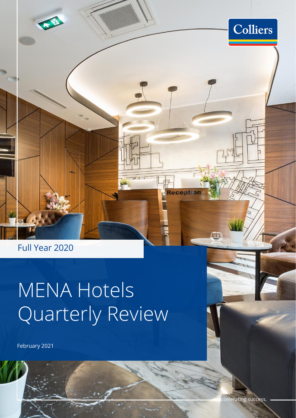

不住

# MENA Hotels Quarterly Review

February 2021



Colliers

**Reception** 

CJ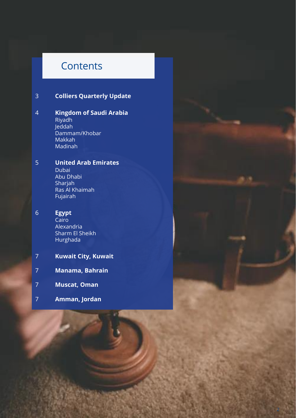### **Contents**

### 3 **Colliers Quarterly Update**

#### 4 **Kingdom of Saudi Arabia** Riyadh Jeddah Dammam/Khobar Makkah Madinah

#### 5 **United Arab Emirates** Dubai Abu Dhabi Sharjah Ras Al Khaimah

Fujairah

#### 6 **Egypt**

Cairo Alexandria Sharm El Sheikh Hurghada

- 7 **Kuwait City, Kuwait**
- 7 **Manama, Bahrain**
- 7 **Muscat, Oman**
- 7 **Amman, Jordan**

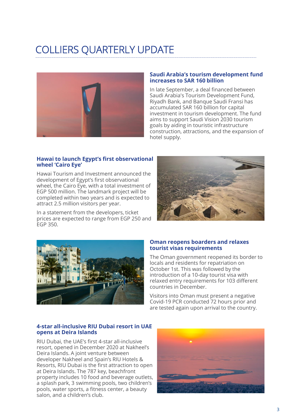### COLLIERS QUARTERLY UPDATE



#### **Saudi Arabia's tourism development fund increases to SAR 160 billion**

In late September, a deal financed between Saudi Arabia's Tourism Development Fund, Riyadh Bank, and Banque Saudi Fransi has accumulated SAR 160 billion for capital investment in tourism development. The fund aims to support Saudi Vision 2030 tourism goals by aiding in touristic infrastructure construction, attractions, and the expansion of hotel supply.

#### **Hawai to launch Egypt's first observational wheel 'Cairo Eye'**

Hawai Tourism and Investment announced the development of Egypt's first observational wheel, the Cairo Eye, with a total investment of EGP 500 million. The landmark project will be completed within two years and is expected to attract 2.5 million visitors per year.

In a statement from the developers, ticket prices are expected to range from EGP 250 and EGP 350.





#### **Oman reopens boarders and relaxes tourist visas requirements**

The Oman government reopened its border to locals and residents for repatriation on October 1st. This was followed by the introduction of a 10-day tourist visa with relaxed entry requirements for 103 different countries in December.

Visitors into Oman must present a negative Covid-19 PCR conducted 72 hours prior and are tested again upon arrival to the country.

#### **4-star all-inclusive RIU Dubai resort in UAE opens at Deira Islands**

RIU Dubai, the UAE's first 4-star all-inclusive resort, opened in December 2020 at Nakheel's Deira Islands. A joint venture between developer Nakheel and Spain's RIU Hotels & Resorts, RIU Dubai is the first attraction to open at Deira Islands. The 787 key, beachfront property includes 10 food and beverage outlets, a splash park, 3 swimming pools, two children's pools, water sports, a fitness center, a beauty salon, and a children's club.

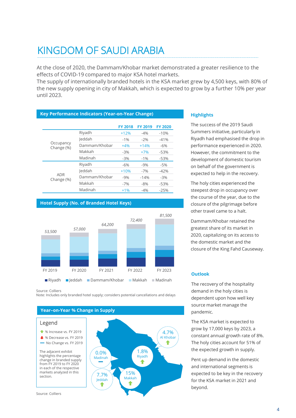### KINGDOM OF SAUDI ARABIA

At the close of 2020, the Dammam/Khobar market demonstrated a greater resilience to the effects of COVID-19 compared to major KSA hotel markets.

The supply of internationally branded hotels in the KSA market grew by 4,500 keys, with 80% of the new supply opening in city of Makkah, which is expected to grow by a further 10% per year until 2023.

#### **Key Performance Indicators (Year-on-Year Change)**

|                         |               | <b>FY 2018</b> | <b>FY 2019</b> | <b>FY 2020</b> |
|-------------------------|---------------|----------------|----------------|----------------|
|                         | Riyadh        | $+12%$         | $-4%$          | $-10%$         |
| Occupancy<br>Change (%) | leddah        | $-1%$          | $-2%$          | $-41%$         |
|                         | Dammam/Khobar | $+4%$          | $+14%$         | $-6%$          |
|                         | Makkah        | $-3%$          | $+7%$          | $-53%$         |
|                         | Madinah       | $-3%$          | $-1%$          | $-53%$         |
|                         | Riyadh        | $-6%$          | $-9%$          | $-5%$          |
| ADR<br>Change (%)       | leddah        | $+10%$         | $-7%$          | $-42%$         |
|                         | Dammam/Khobar | $-9%$          | $-14%$         | $-3%$          |
|                         | Makkah        | $-7%$          | $-8%$          | $-53%$         |
|                         | Madinah       | $+1%$          | $-4%$          | $-25%$         |

#### **Hotel Supply (No. of Branded Hotel Keys)**



Source: Colliers

Note: Includes only branded hotel supply; considers potential cancellations and delays



#### **Highlights**

The success of the 2019 Saudi Summers initiative, particularly in Riyadh had emphasised the drop in performance experienced in 2020. However, the commitment to the development of domestic tourism on behalf of the government is expected to help in the recovery.

The holy cities experienced the steepest drop in occupancy over the course of the year, due to the closure of the pilgrimage before other travel came to a halt.

Dammam/Khobar retained the greatest share of its market in 2020, capitalizing on its access to the domestic market and the closure of the King Fahd Causeway.

#### **Outlook**

The recovery of the hospitality demand in the holy cities is dependent upon how well key source market manage the pandemic.

The KSA market is expected to grow by 17,000 keys by 2023, a constant annual growth rate of 8%. The holy cities account for 51% of the expected growth in supply.

Pent up demand in the domestic and international segments is expected to be key in the recovery for the KSA market in 2021 and beyond.

#### Source: Colliers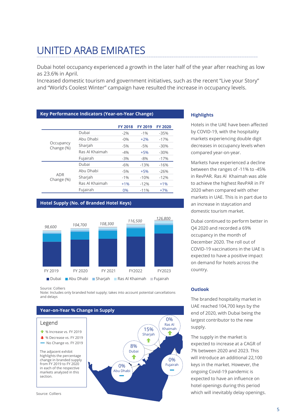## UNITED ARAB EMIRATES

Dubai hotel occupancy experienced a growth in the later half of the year after reaching as low as 23.6% in April.

Increased domestic tourism and government initiatives, such as the recent "Live your Story" and "World's Coolest Winter" campaign have resulted the increase in occupancy levels.

#### **Key Performance Indicators (Year-on-Year Change)**

|                          |                | <b>FY 2018</b> | <b>FY 2019</b> | <b>FY 2020</b> |
|--------------------------|----------------|----------------|----------------|----------------|
| Occupancy<br>Change (%)  | Dubai          | $-2%$          | $-1%$          | $-35%$         |
|                          | Abu Dhabi      | $-0\%$         | $+2%$          | $-17%$         |
|                          | Sharjah        | $-5%$          | $-5%$          | $-30%$         |
|                          | Ras Al Khaimah | $-4%$          | $+5%$          | $-30%$         |
|                          | Fujairah       | $-3%$          | $-8%$          | $-17%$         |
|                          | Dubai          | $-6%$          | $-13%$         | $-16%$         |
| <b>ADR</b><br>Change (%) | Abu Dhabi      | $-5%$          | $+5%$          | $-26%$         |
|                          | Sharjah        | $-1%$          | $-10%$         | $-12%$         |
|                          | Ras Al Khaimah | $+1%$          | $-12%$         | $+1%$          |
|                          | Fujairah       | 0%             | $-11%$         | $+7%$          |

#### **Hotel Supply (No. of Branded Hotel Keys)**



Source: Colliers

Note: Includes only branded hotel supply; takes into account potential cancellations and delays



#### **Highlights**

Hotels in the UAE have been affected by COVID-19, with the hospitality markets experiencing double digit decreases in occupancy levels when compared year-on-year.

Markets have experienced a decline between the ranges of -11% to -45% in RevPAR. Ras Al Khaimah was able to achieve the highest RevPAR in FY 2020 when compared with other markets in UAE. This is in part due to an increase in staycation and domestic tourism market.

Dubai continued to perform better in Q4 2020 and recorded a 69% occupancy in the month of December 2020. The roll out of COVID-19 vaccinations in the UAE is expected to have a positive impact on demand for hotels across the country.

#### **Outlook**

The branded hospitality market in UAE reached 104,700 keys by the end of 2020, with Dubai being the largest contributor to the new supply.

The supply in the market is expected to increase at a CAGR of 7% between 2020 and 2023. This will introduce an additional 22,100 keys in the market. However, the ongoing Covid-19 pandemic is expected to have an influence on hotel openings during this period which will inevitably delay openings.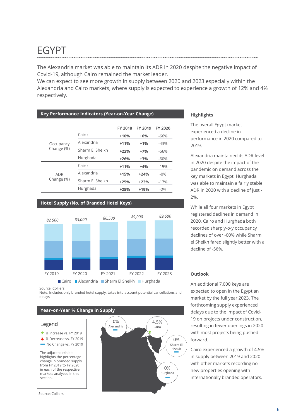### EGYPT

The Alexandria market was able to maintain its ADR in 2020 despite the negative impact of Covid-19, although Cairo remained the market leader.

We can expect to see more growth in supply between 2020 and 2023 especially within the Alexandria and Cairo markets, where supply is expected to experience a growth of 12% and 4% respectively.

#### **Key Performance Indicators (Year-on-Year Change)**

|                         |                                     | <b>FY 2018</b> | FY 2019 | <b>FY 2020</b> |
|-------------------------|-------------------------------------|----------------|---------|----------------|
|                         | Cairo                               | $+10%$         | $+6%$   | $-66%$         |
| Occupancy<br>Change (%) | Alexandria                          | $+11%$         | $+1%$   | $-43%$         |
|                         | Sharm Fl Sheikh                     | $+22%$         | $+7%$   | $-56%$         |
|                         | Hurghada                            | $+26%$         | $+3%$   | $-60%$         |
|                         | Cairo                               | $+11%$         | $+4%$   | $-15%$         |
| ADR                     | Alexandria                          | $+15%$         | $+24%$  | $-0\%$         |
| Change (%)              | Sharm Fl Sheikh<br>$+25%$<br>$+23%$ |                | $-17%$  |                |
|                         | Hurghada                            | $+25%$         | $+19%$  | $-2%$          |

#### **Hotel Supply (No. of Branded Hotel Keys)**



#### Source: Colliers

Note: Includes only branded hotel supply; takes into account potential cancellations and delays

#### **Year–on-Year % Change in Supply** 4.5% Cairo 0% Sharm El Sheikh 0% Alexandria  $\Omega%$ Hurghada Legend The adjacent exhibit highlights the percentage change in branded supply from FY 2019 to FY 2020 in each of the respective markets analyzed in this section. ↓ % Decrease vs. FY 2019  $^{\bullet}$  % Increase vs. FY 2019 No Change vs. FY 2019 Source: Colliers

#### **Highlights**

The overall Egypt market experienced a decline in performance in 2020 compared to 2019.

Alexandria maintained its ADR level in 2020 despite the impact of the pandemic on demand across the key markets in Egypt. Hurghada was able to maintain a fairly stable ADR in 2020 with a decline of just - 2%.

While all four markets in Egypt registered declines in demand in 2020, Cairo and Hurghada both recorded sharp y-o-y occupancy declines of over -60% while Sharm el Sheikh fared slightly better with a decline of -56%.

#### **Outlook**

An additional 7,000 keys are expected to open in the Egyptian market by the full year 2023. The forthcoming supply experienced delays due to the impact of Covid-19 on projects under construction, resulting in fewer openings in 2020 with most projects being pushed forward.

Cairo experienced a growth of 4.5% in supply between 2019 and 2020 with other markets recording no new properties opening with internationally branded operators.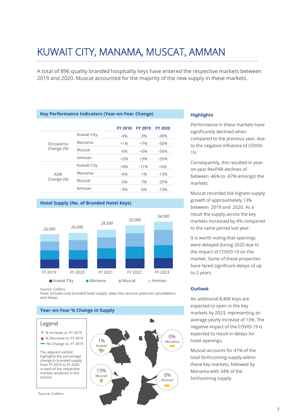### KUWAIT CITY, MANAMA, MUSCAT, AMMAN

A total of 896 quality branded hospitality keys have entered the respective markets between 2019 and 2020. Muscat accounted for the majority of the new supply in these markets.

#### **Key Performance Indicators (Year-on-Year Change)**

|                          |                    | <b>FY 2018</b> | <b>FY 2019</b> | <b>FY 2020</b> |
|--------------------------|--------------------|----------------|----------------|----------------|
| Occupancy<br>Change (%)  | <b>Kuwait City</b> | $-4%$          | $-3%$          | $-49%$         |
|                          | Manama             | $+1%$          | $+7%$          | $-50%$         |
|                          | Muscat             | $-6%$          | $+0\%$         | $-56%$         |
|                          | Amman              | $+2%$          | $+3%$          | $-55%$         |
|                          | <b>Kuwait City</b> | $+4%$          | $-11%$         | $+6%$          |
| <b>ADR</b><br>Change (%) | Manama             | $-6%$          | $-1%$          | $-13%$         |
|                          | Muscat             | $-0\%$         | $-7%$          | $-25%$         |
|                          | Amman              | $-3%$          | $-6%$          | $-13%$         |

#### **Hotel Supply (No. of Branded Hotel Keys)**



Source: Colliers

Note: Includes only branded hotel supply; takes into account potential cancellations and delays

#### **Year–on-Year % Change in Supply**

#### Legend

- $\triangleq$  % Increase vs. FY 2019
- ↓ % Decrease vs. FY 2019
- No Change vs. FY 2019

The adjacent exhibit highlights the percentage change in branded supply from FY 2019 to FY 2020 in each of the respective markets analyzed in this section.

Source: Colliers



#### **Highlights**

Performance in these markets have significantly declined when compared to the previous year, due to the negative influence of COVID-19.

Consequently, this resulted in yearon-year RevPAR declines of between -46% to -67% amongst the markets.

Muscat recorded the highest supply growth of approximately 13% between 2019 and 2020. As a result the supply across the key markets increased by 4% compared to the same period last year.

It is worth noting that openings were delayed during 2020 due to the impact of COVID-19 on the market. Some of these properties have faced significant delays of up to 2 years.

#### **Outlook**

An additional 8,400 keys are expected to open in the key markets by 2023, representing an average yearly increase of 13%. The negative impact of the COVID-19 is expected to result in delays for hotel openings.

Muscat accounts for 47% of the total forthcoming supply within these key markets, followed by Manama with 34% of the forthcoming supply.